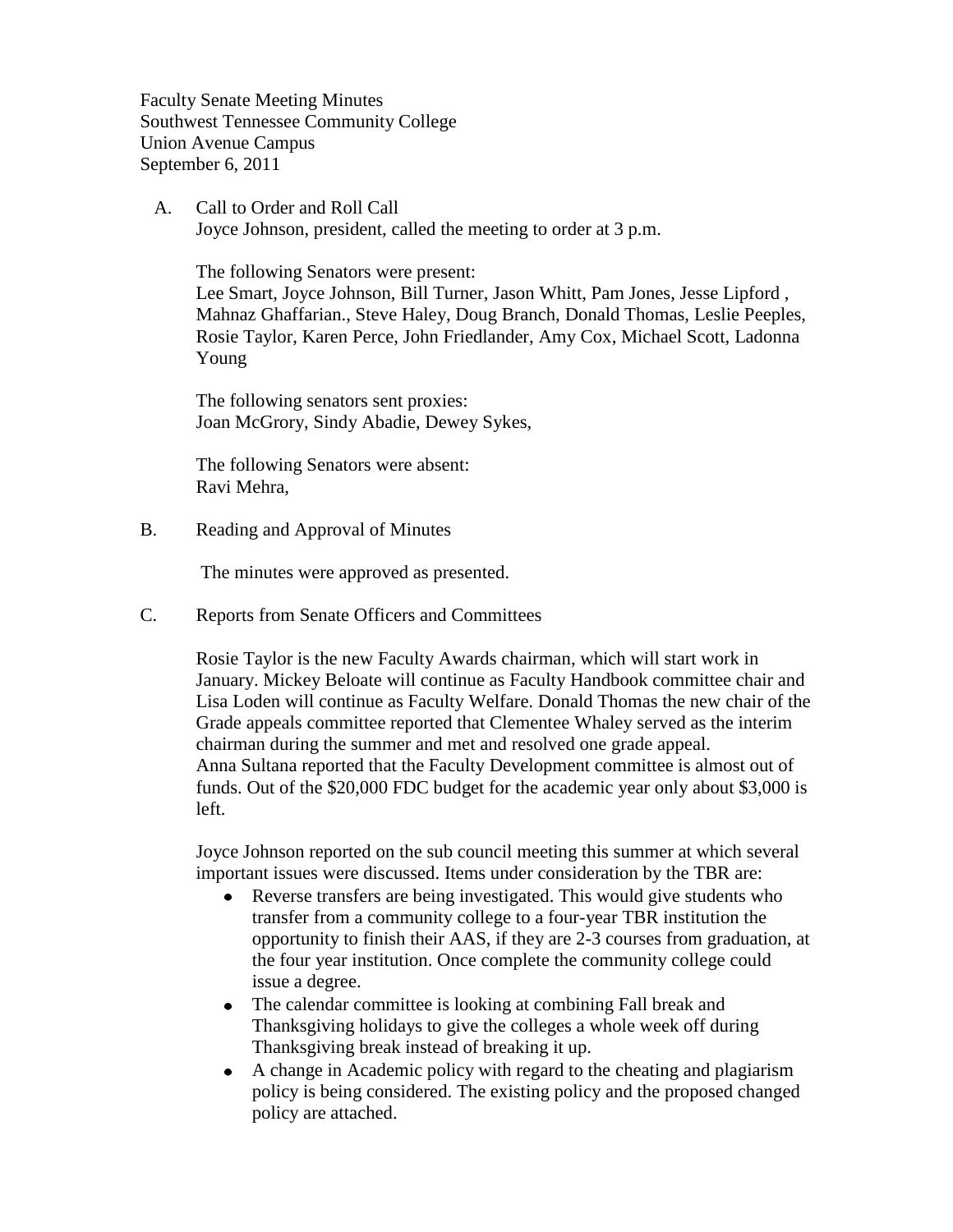Faculty Senate Meeting Minutes Southwest Tennessee Community College Union Avenue Campus September 6, 2011

 A. Call to Order and Roll Call Joyce Johnson, president, called the meeting to order at 3 p.m.

The following Senators were present:

Lee Smart, Joyce Johnson, Bill Turner, Jason Whitt, Pam Jones, Jesse Lipford , Mahnaz Ghaffarian., Steve Haley, Doug Branch, Donald Thomas, Leslie Peeples, Rosie Taylor, Karen Perce, John Friedlander, Amy Cox, Michael Scott, Ladonna Young

The following senators sent proxies: Joan McGrory, Sindy Abadie, Dewey Sykes,

The following Senators were absent: Ravi Mehra,

B. Reading and Approval of Minutes

The minutes were approved as presented.

C. Reports from Senate Officers and Committees

Rosie Taylor is the new Faculty Awards chairman, which will start work in January. Mickey Beloate will continue as Faculty Handbook committee chair and Lisa Loden will continue as Faculty Welfare. Donald Thomas the new chair of the Grade appeals committee reported that Clementee Whaley served as the interim chairman during the summer and met and resolved one grade appeal. Anna Sultana reported that the Faculty Development committee is almost out of funds. Out of the \$20,000 FDC budget for the academic year only about \$3,000 is left.

Joyce Johnson reported on the sub council meeting this summer at which several important issues were discussed. Items under consideration by the TBR are:

- Reverse transfers are being investigated. This would give students who  $\bullet$ transfer from a community college to a four-year TBR institution the opportunity to finish their AAS, if they are 2-3 courses from graduation, at the four year institution. Once complete the community college could issue a degree.
- The calendar committee is looking at combining Fall break and  $\bullet$ Thanksgiving holidays to give the colleges a whole week off during Thanksgiving break instead of breaking it up.
- A change in Academic policy with regard to the cheating and plagiarism  $\bullet$ policy is being considered. The existing policy and the proposed changed policy are attached.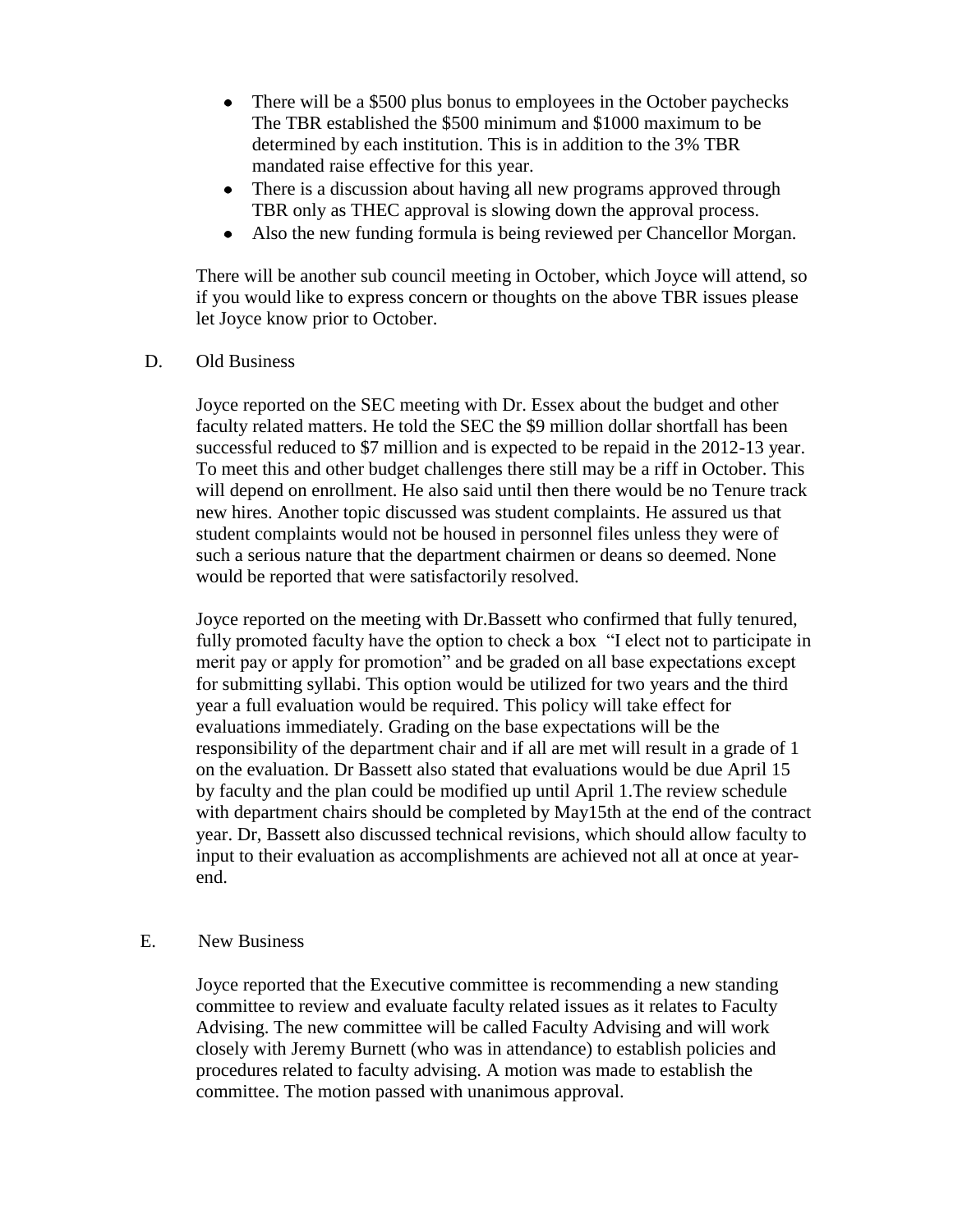- There will be a \$500 plus bonus to employees in the October paychecks  $\bullet$ The TBR established the \$500 minimum and \$1000 maximum to be determined by each institution. This is in addition to the 3% TBR mandated raise effective for this year.
- There is a discussion about having all new programs approved through  $\bullet$ TBR only as THEC approval is slowing down the approval process.
- Also the new funding formula is being reviewed per Chancellor Morgan.  $\bullet$

There will be another sub council meeting in October, which Joyce will attend, so if you would like to express concern or thoughts on the above TBR issues please let Joyce know prior to October.

D. Old Business

Joyce reported on the SEC meeting with Dr. Essex about the budget and other faculty related matters. He told the SEC the \$9 million dollar shortfall has been successful reduced to \$7 million and is expected to be repaid in the 2012-13 year. To meet this and other budget challenges there still may be a riff in October. This will depend on enrollment. He also said until then there would be no Tenure track new hires. Another topic discussed was student complaints. He assured us that student complaints would not be housed in personnel files unless they were of such a serious nature that the department chairmen or deans so deemed. None would be reported that were satisfactorily resolved.

Joyce reported on the meeting with Dr.Bassett who confirmed that fully tenured, fully promoted faculty have the option to check a box "I elect not to participate in merit pay or apply for promotion" and be graded on all base expectations except for submitting syllabi. This option would be utilized for two years and the third year a full evaluation would be required. This policy will take effect for evaluations immediately. Grading on the base expectations will be the responsibility of the department chair and if all are met will result in a grade of 1 on the evaluation. Dr Bassett also stated that evaluations would be due April 15 by faculty and the plan could be modified up until April 1.The review schedule with department chairs should be completed by May15th at the end of the contract year. Dr, Bassett also discussed technical revisions, which should allow faculty to input to their evaluation as accomplishments are achieved not all at once at yearend.

#### E. New Business

Joyce reported that the Executive committee is recommending a new standing committee to review and evaluate faculty related issues as it relates to Faculty Advising. The new committee will be called Faculty Advising and will work closely with Jeremy Burnett (who was in attendance) to establish policies and procedures related to faculty advising. A motion was made to establish the committee. The motion passed with unanimous approval.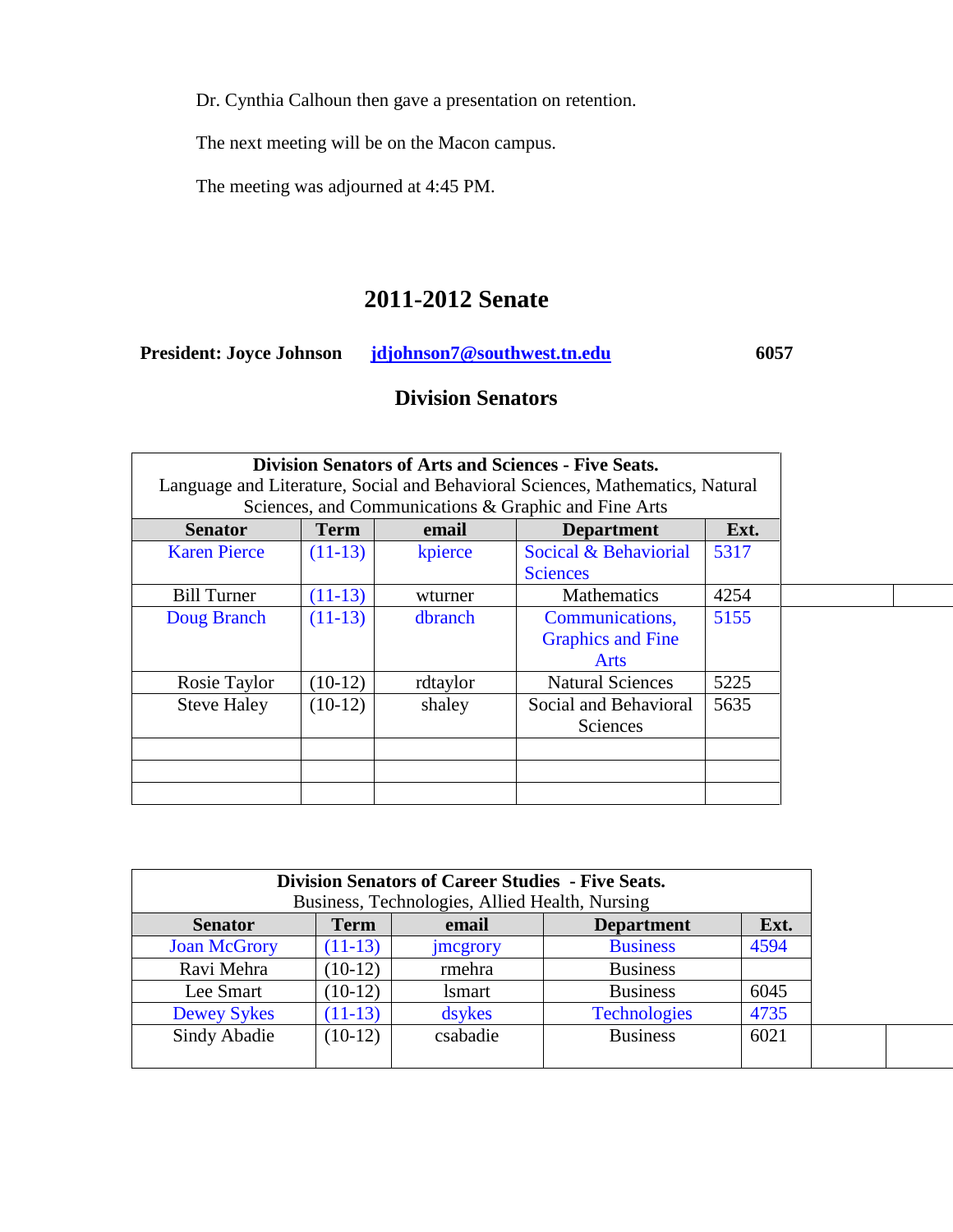Dr. Cynthia Calhoun then gave a presentation on retention.

The next meeting will be on the Macon campus.

The meeting was adjourned at 4:45 PM.

# **2011-2012 Senate**

**President: Joyce Johnson [jdjohnson7@southwest.tn.edu](mailto:jdjohnson7@southwest.tn.edu) 6057** 

# **Division Senators**

|                                                                                                                                       |             |          | <b>Division Senators of Arts and Sciences - Five Seats.</b> |      |  |  |  |
|---------------------------------------------------------------------------------------------------------------------------------------|-------------|----------|-------------------------------------------------------------|------|--|--|--|
| Language and Literature, Social and Behavioral Sciences, Mathematics, Natural<br>Sciences, and Communications & Graphic and Fine Arts |             |          |                                                             |      |  |  |  |
| <b>Senator</b>                                                                                                                        | <b>Term</b> | email    | <b>Department</b>                                           | Ext. |  |  |  |
| <b>Karen Pierce</b>                                                                                                                   | $(11-13)$   | kpierce  | Socical & Behaviorial                                       | 5317 |  |  |  |
|                                                                                                                                       |             |          | <b>Sciences</b>                                             |      |  |  |  |
| <b>Bill Turner</b>                                                                                                                    | $(11-13)$   | wturner  | <b>Mathematics</b>                                          | 4254 |  |  |  |
| Doug Branch                                                                                                                           | $(11-13)$   | dbranch  | Communications,                                             | 5155 |  |  |  |
|                                                                                                                                       |             |          | <b>Graphics and Fine</b>                                    |      |  |  |  |
|                                                                                                                                       |             |          | Arts                                                        |      |  |  |  |
| Rosie Taylor                                                                                                                          | $(10-12)$   | rdtaylor | <b>Natural Sciences</b>                                     | 5225 |  |  |  |
| <b>Steve Haley</b>                                                                                                                    | $(10-12)$   | shaley   | Social and Behavioral                                       | 5635 |  |  |  |
|                                                                                                                                       |             |          | <b>Sciences</b>                                             |      |  |  |  |
|                                                                                                                                       |             |          |                                                             |      |  |  |  |
|                                                                                                                                       |             |          |                                                             |      |  |  |  |
|                                                                                                                                       |             |          |                                                             |      |  |  |  |

| <b>Division Senators of Career Studies - Five Seats.</b><br>Business, Technologies, Allied Health, Nursing |             |                 |                     |      |
|------------------------------------------------------------------------------------------------------------|-------------|-----------------|---------------------|------|
| <b>Senator</b>                                                                                             | <b>Term</b> | email           | <b>Department</b>   | Ext. |
| <b>Joan McGrory</b>                                                                                        | $(11-13)$   | <i>imcgrory</i> | <b>Business</b>     | 4594 |
| Ravi Mehra                                                                                                 | $(10-12)$   | rmehra          | <b>Business</b>     |      |
| Lee Smart                                                                                                  | $(10-12)$   | <i>lsmart</i>   | <b>Business</b>     | 6045 |
| <b>Dewey Sykes</b>                                                                                         | $(11-13)$   | dsykes          | <b>Technologies</b> | 4735 |
| Sindy Abadie                                                                                               | $(10-12)$   | csabadie        | <b>Business</b>     | 6021 |
|                                                                                                            |             |                 |                     |      |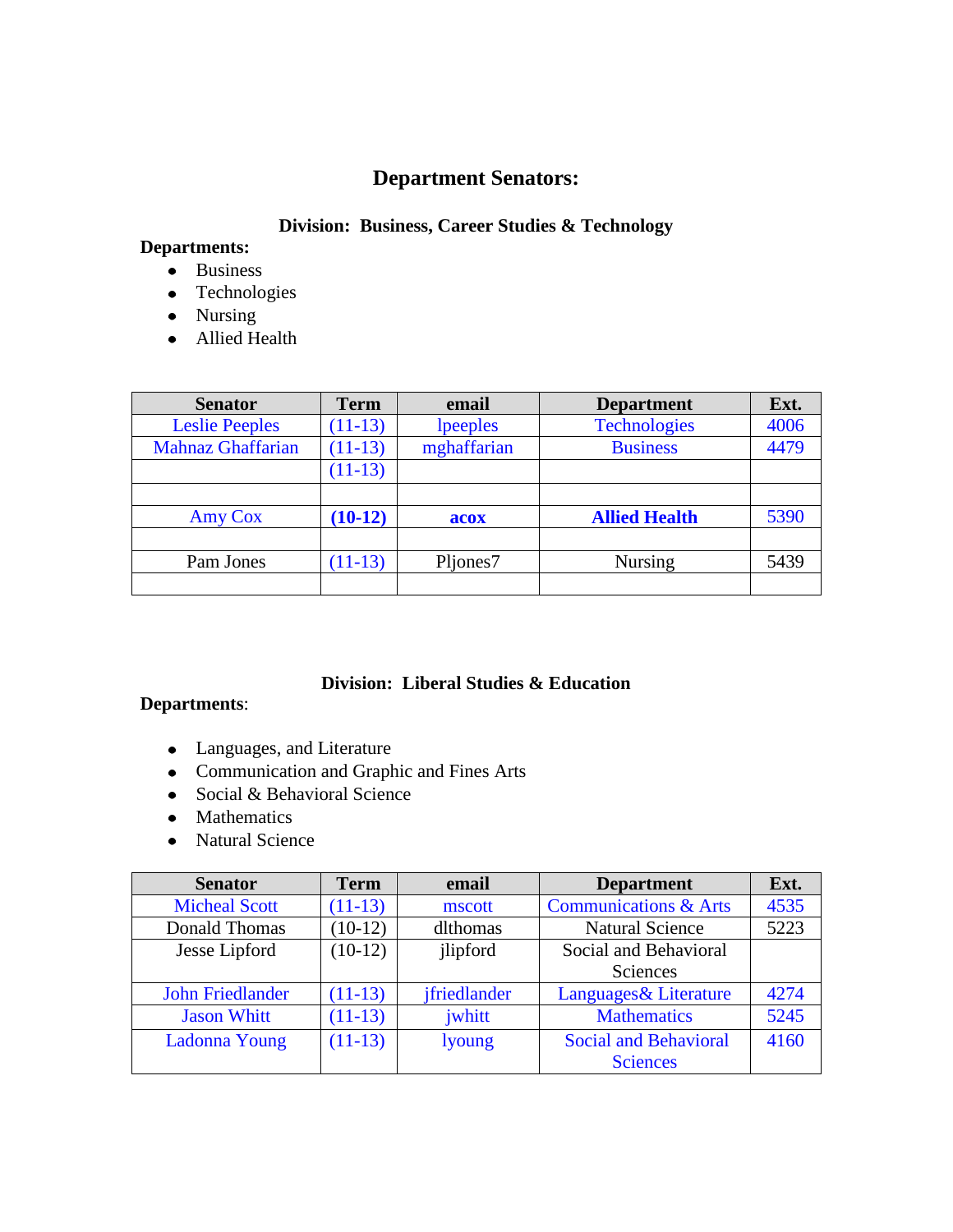## **Department Senators:**

## **Division: Business, Career Studies & Technology**

# **Departments:**

- Business
- Technologies
- Nursing
- Allied Health

| <b>Senator</b>           | <b>Term</b> | email       | <b>Department</b>    | Ext. |
|--------------------------|-------------|-------------|----------------------|------|
| <b>Leslie Peeples</b>    | $(11-13)$   | lpeeples    | <b>Technologies</b>  | 4006 |
| <b>Mahnaz Ghaffarian</b> | $(11-13)$   | mghaffarian | <b>Business</b>      | 4479 |
|                          | $(11-13)$   |             |                      |      |
|                          |             |             |                      |      |
| <b>Amy Cox</b>           | $(10-12)$   | acox        | <b>Allied Health</b> | 5390 |
|                          |             |             |                      |      |
| Pam Jones                | $(11-13)$   | Pljones7    | <b>Nursing</b>       | 5439 |
|                          |             |             |                      |      |

#### **Division: Liberal Studies & Education**

### **Departments**:

- Languages, and Literature
- Communication and Graphic and Fines Arts
- Social & Behavioral Science
- Mathematics
- Natural Science

| <b>Senator</b>          | <b>Term</b> | email         | <b>Department</b>                | Ext. |
|-------------------------|-------------|---------------|----------------------------------|------|
| <b>Micheal Scott</b>    | $(11-13)$   | mscott        | <b>Communications &amp; Arts</b> | 4535 |
| Donald Thomas           | $(10-12)$   | dlthomas      | <b>Natural Science</b>           | 5223 |
| Jesse Lipford           | $(10-12)$   | jlipford      | Social and Behavioral            |      |
|                         |             |               | <b>Sciences</b>                  |      |
| <b>John Friedlander</b> | $(11-13)$   | ifriedlander  | Languages & Literature           | 4274 |
| <b>Jason Whitt</b>      | $(11-13)$   | jwhitt        | <b>Mathematics</b>               | 5245 |
| <b>Ladonna Young</b>    | $(11-13)$   | <i>lyoung</i> | <b>Social and Behavioral</b>     | 4160 |
|                         |             |               | <b>Sciences</b>                  |      |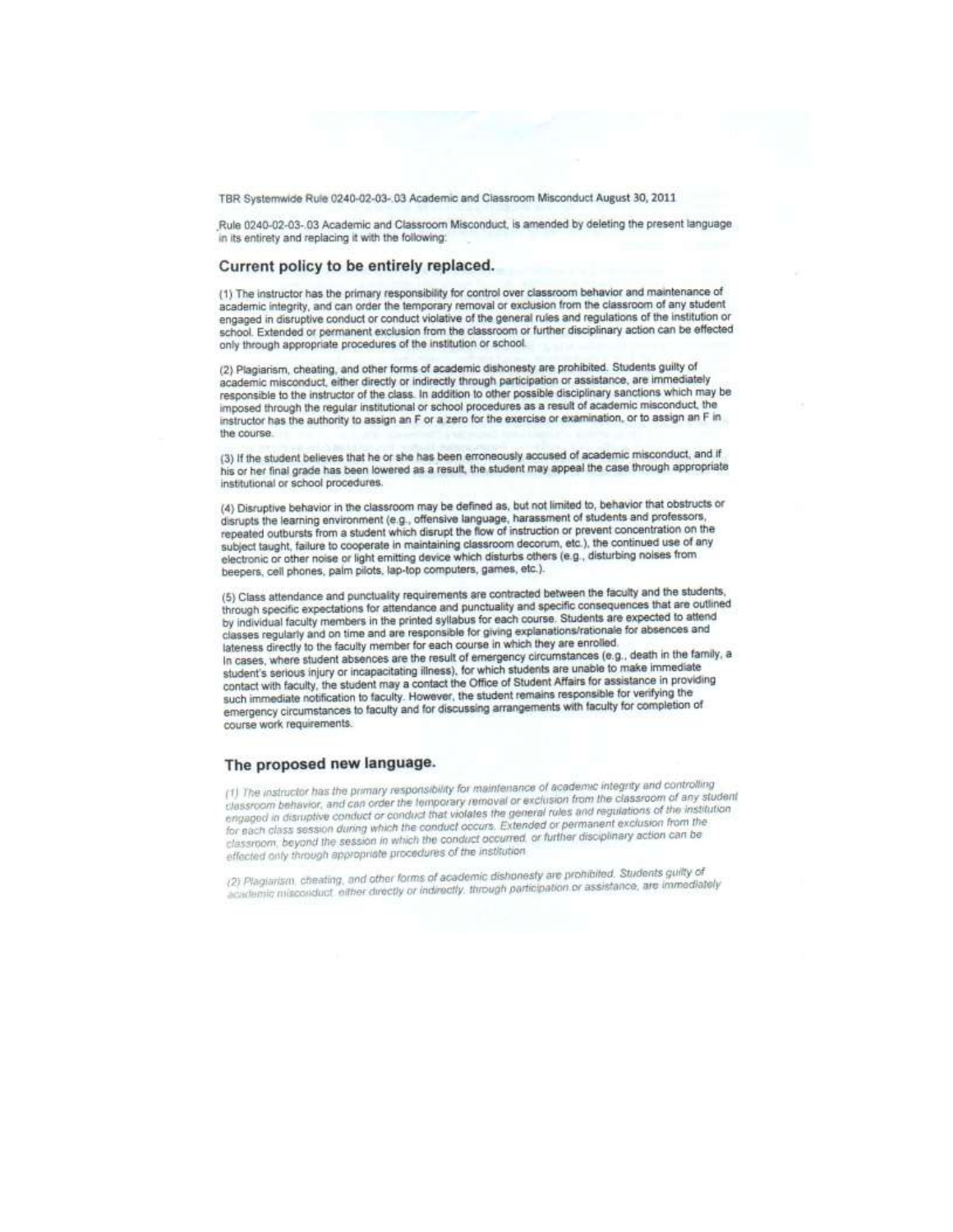TBR Systemwide Rule 0240-02-03-.03 Academic and Classroom Misconduct August 30, 2011

Rule 0240-02-03-.03 Academic and Classroom Misconduct, is amended by deleting the present language in its entirety and replacing it with the following:

#### Current policy to be entirely replaced.

(1) The instructor has the primary responsibility for control over classroom behavior and maintenance of academic integrity, and can order the temporary removal or exclusion from the classroom of any student engaged in disruptive conduct or conduct violative of the general rules and regulations of the institution or school. Extended or permanent exclusion from the classroom or further disciplinary action can be effected only through appropriate procedures of the institution or school.

(2) Plagiarism, cheating, and other forms of academic dishonesty are prohibited. Students guilty of academic misconduct, either directly or indirectly through participation or assistance, are immediately responsible to the instructor of the class. In addition to other possible disciplinary sanctions which may be imposed through the regular institutional or school procedures as a result of academic misconduct, the instructor has the authority to assign an F or a zero for the exercise or examination, or to assign an F in the course.

(3) If the student believes that he or she has been erroneously accused of academic misconduct, and if his or her final grade has been lowered as a result, the student may appeal the case through appropriate institutional or school procedures.

(4) Disruptive behavior in the classroom may be defined as, but not limited to, behavior that obstructs or disrupts the learning environment (e.g., offensive language, harassment of students and professors, repeated outbursts from a student which disrupt the flow of instruction or prevent concentration on the subject taught, failure to cooperate in maintaining classroom decorum, etc.), the continued use of any electronic or other noise or light emitting device which disturbs others (e.g., disturbing noises from beepers, cell phones, palm pilots, lap-top computers, games, etc.).

(5) Class attendance and punctuality requirements are contracted between the faculty and the students, through specific expectations for attendance and punctuality and specific consequences that are outlined by individual faculty members in the printed syllabus for each course. Students are expected to attend classes regularly and on time and are responsible for giving explanations/rationale for absences and lateness directly to the faculty member for each course in which they are enrolled. In cases, where student absences are the result of emergency circumstances (e.g., death in the family, a student's serious injury or incapacitating illness), for which students are unable to make immediate contact with faculty, the student may a contact the Office of Student Affairs for assistance in providing such immediate notification to faculty. However, the student remains responsible for verifying the emergency circumstances to faculty and for discussing arrangements with faculty for completion of course work requirements.

#### The proposed new language.

(1) The instructor has the primary responsibility for maintenance of academic integrity and controlling classroom behavior, and can order the temporary removal or exclusion from the classroom of any student engaged in disruptive conduct or conduct that violates the general rules and regulations of the institution for each class session during which the conduct occurs. Extended or permanent exclusion from the classroom, beyond the session in which the conduct occurred, or further disciplinary action can be effected only through appropriate procedures of the institution

(2) Plagiarism, cheating, and other forms of academic dishonesty are prohibited. Students guilty of academic misconduct, either directly or indirectly, through participation or assistance, are immediately